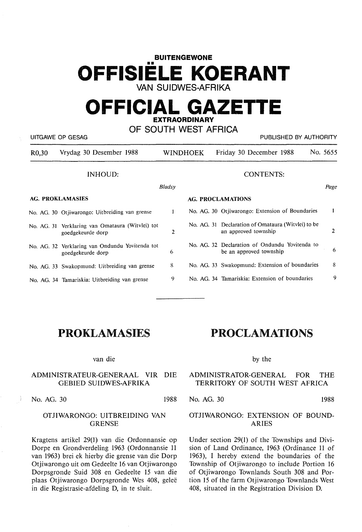# **BUITENGEWONE** OFFISIELE KOERANT **VAN SUIDWES-AFRIKA**

# **OFFICIAL GAZETTE EXTRAORDINARY**

| OF SOUTH WEST AFRICA<br>UITGAWE OP GESAG<br>PUBLISHED BY AUTHORITY |                                                                       |                          |  |                                                                            |          |
|--------------------------------------------------------------------|-----------------------------------------------------------------------|--------------------------|--|----------------------------------------------------------------------------|----------|
| R <sub>0</sub> ,30                                                 | Vrydag 30 Desember 1988                                               | <b>WINDHOEK</b>          |  | Friday 30 December 1988                                                    | No. 5655 |
|                                                                    | <b>INHOUD:</b>                                                        |                          |  | <b>CONTENTS:</b>                                                           |          |
|                                                                    |                                                                       | Bladsy                   |  |                                                                            | Page     |
| <b>AG. PROKLAMASIES</b>                                            |                                                                       | <b>AG. PROCLAMATIONS</b> |  |                                                                            |          |
|                                                                    | No. AG. 30 Otiiwarongo: Uitbreiding van grense                        | 1                        |  | No. AG. 30 Otjiwarongo: Extension of Boundaries                            | 1        |
|                                                                    | No. AG. 31 Verklaring van Omataura (Witvlei) tot<br>goedgekeurde dorp | 2                        |  | No. AG. 31 Declaration of Omataura (Witvlei) to be<br>an approved township | 2        |
|                                                                    | No. AG. 32 Verklaring van Ondundu Yovitenda tot<br>goedgekeurde dorp  | 6                        |  | No. AG. 32 Declaration of Ondundu Yovitenda to<br>be an approved township  | 6        |
|                                                                    | No. AG. 33 Swakopmund: Uitbreiding van grense                         | 8                        |  | No. AG. 33 Swakopmund: Extension of boundaries                             | 8        |
|                                                                    | No. AG. 34 Tamariskia: Uitbreiding van grense                         | 9                        |  | No. AG. 34 Tamariskia: Extension of boundaries                             | 9        |

# PROKLAMASIES

### van die

### ADMINISTRATEUR-GENERAAL VIR DIE GEBIED SUIDWES-AFRIKA

No. AG. 30 1988

J)

# OTJIWARONGO: UITBREIDING VAN **GRENSE**

Kragtens artikel 29(1) van die Ordonnansie op Dorpe en Grondverdeling 1963 (Ordonnansie 11 van 1963) brei ek hierby die grense van die Dorp Otjiwarongo uit om Gedeelte 16 van Otjiwarongo Dorpsgronde Suid 308 en Gedeelte 15 van die plaas Otjiwarongo Dorpsgronde Wes 408, geleë in die Registrasie-afdeling D, in te sluit.

# PROCLAMATIONS

by the

### ADMINISTRATOR-GENERAL FOR THE TERRITORY OF SOUTH WEST AFRICA

No. AG. 30 1988

# OTJIWARONGO: EXTENSION OF BOUND-ARIES

Under section 29(1) of the Townships and Division of Land Ordinance, 1963 (Ordinance 11 of 1963), I hereby extend the boundaries of the Township of Otjiwarongo to include Portion 16 of Otjiwarongo Townlands South 308 and Portion 15 of the farm Otjiwarongo Townlands West 408, situated in the Registration Division D.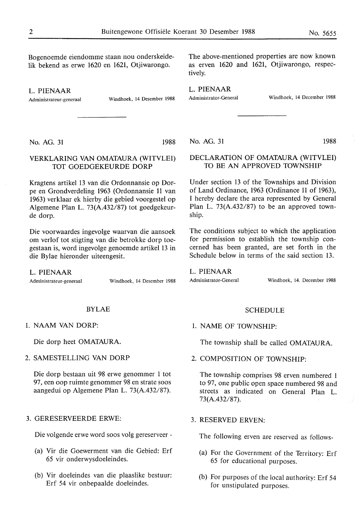Bogenoemde eiendomme staan nou onderskeidelik bekend as erwe 1620 en 1621, Otjiwarongo.

L. PIENAAR

Administrateur-generaal Windhoek, 14 Desember 1988

No. AG. 31 1988

# VERKLARING VAN OMATAURA (WITVLEI) TOT GOEDGEKEURDE DORP

Kragtens artikel 13 van die Ordonnansie op Dorpe en Grondverdeling 1963 (Ordonnansie 11 van 1963) verklaar ek hierby die gebied voorgestel op Algemene Plan L. 73(A.432/87) tot goedgekeurde dorp.

Die voorwaardes ingevolge waarvan die aansoek om verlof tot stigting van die betrokke dorp toegestaan is, word ingevolge genoemde artikel 13 in die Bylae hieronder uiteengesit.

L. **PIENAAR** 

Administratcur-gcneraal Windhoek, 14 Desember 1988

### BYLAE

1. NAAM VAN DORP:

Die dorp heet OMATAURA.

2. SAMESTELLING VAN DORP

Die dorp bestaan uit 98 erwe genommer 1 tot 97, een oop ruimte genommer 98 en strate soos aangedui op Algemene Plan L. 73(A.432/87).

#### 3. GERESERVEERDE ERWE:

Die volgende erwe word soos volg gereserveer -

- (a) Vir die Goewerment van die Gebied: Erf 65 vir onderwysdoeleindes.
- (b) Vir doeleindes van die plaaslike bestuur: Erf 54 vir onbepaalde doeleindes.

The above-mentioned properties are now known as erven 1620 and 1621, Otjiwarongo, respectively.

L. **PIENAAR** 

Administrator-General Windhoek, 14 December 1988

No. AG. 31 1988

# DECLARATION OF OMATAURA (WITVLEI) TO BE AN APPROVED TOWNSHIP

Under section 13 of the Townships and Division of Land Ordinance, 1963 (Ordinance 11 of 1963), I hereby declare the area represented by General Plan L. 73(A.432/87) to be an approved township.

The conditions subject to which the application for permission to establish the township concerned has been granted, are set forth in the Schedule below in terms of the said section 13.

L. **PIENAAR** 

Administrator-General Windhoek, 14. December 1988

#### SCHEDULE

1. NAME OF TOWNSHIP:

The township shall be called OMATAURA.

2. COMPOSITION OF TOWNSHIP:

The township comprises 98 erven numbered 1 to 97, one public open space numbered 98 and streets as indicated on General Plan L. 73(A.432/87).

3. RESERVED ERVEN:

The following erven are reserved as follows-

- (a) For the Government of the Territory: Erf 65 for educational purposes.
- (b) For purposes of the local authority: Erf 54 for unstipulated purposes.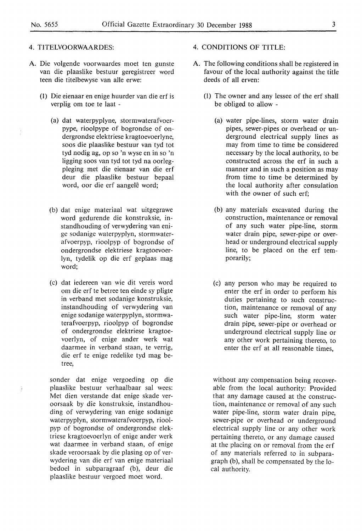#### 4. TITELVOORWAARDES:

- A. Die volgende voorwaardes moet ten gunste van die plaaslike bestuur geregistreer word teen die titelbewyse van alle erwe:
	- (1) Die eienaar en enige huurder van die erf is verplig om toe te laat -
		- (a) dat waterpyplyne, stormwaterafvoerpype, rioolpype of bogrondse of ondergrondse elektriese kragtoevoerlyne, soos die plaaslike bestuur van tyd tot tyd nodig ag, op so 'n wyse en in so 'n ligging soos van tyd tot tyd na oorlegpleging met die eienaar van die erf deur die plaaslike bestuur bepaal word, oor die erf aangelê word;
		- (b) dat enige materiaal wat uitgegrawe word gedurende die konstruksie, instandhouding of verwydering van enige sodanige waterpyplyn, stormwaterafvoerpyp, rioolpyp of bogrondse of ondergrondse elektriese kragtoevoerlyn, tydelik op die erf geplaas mag word;
		- (c) dat iedereen van wie dit vereis word om die erf te betree ten einde sy pligte in verband met sodanige konstruksie, instandhouding of verwydering van enige sodanige waterpyplyn, stormwaterafvoerpyp, rioolpyp of bogrondse of ondergrondse elektriese kragtoevoerlyn, of enige ander werk wat daarmee in verband staan, te verrig, die erf te enige redelike tyd mag betree,

sonder dat enige vergoeding op die plaaslike bestuur verhaalbaar sal wees: Met dien verstande dat enige skade veroorsaak by die konstruksie, instandhouding of verwydering van enige sodanige waterpyplyn, stormwaterafvoerpyp, rioolpyp of bogrondse of ondergrondse elektriese kragtoevoerlyn of enige ander werk wat daarmee in verband staan, of enige skade veroorsaak by die plasing op of verwydering van die erf van enige materiaal bedoel in subparagraaf (b), deur die plaaslike bestuur vergoed moet word.

- 4. CONDITIONS OF TITLE:
- A. The following conditions shall be registered in favour of the local authority against the title deeds of all erven:
	- (1) The owner and any lessee of the erf shall be obliged to allow -
		- (a) water pipe-lines, storm water drain pipes, sewer-pipes or overhead or underground electrical supply lines as may from time to time be considered necessary by the local authority, to be constructed across the erf in such a manner and in such a position as may from time to time be determined by the local authority after consulation with the owner of such erf;
		- (b) any materials excavated during the construction, maintenance or removal of any such water pipe-line, storm water drain pipe, sewer-pipe or overhead or underground electrical supply line, to be placed on the erf temporarily;
		- (c) any person who may be required to enter the erf in order to perform his duties pertaining to such construction, maintenance or removal of any such water pipe-line, storm water drain pipe, sewer-pipe or overhead or underground electrical supply line or any other work pertaining thereto, to enter the erf at all reasonable times,

without any compensation being recoverable from the local authority: Provided that any damage caused at the construction, maintenance or removal of any such water pipe-line, storm water drain pipe, sewer-pipe or overhead or underground electrical supply line or any other work pertaining thereto, or any damage caused at the placing on or removal from the erf of any materials referred to in subparagraph (b), shall be compensated by the local authority.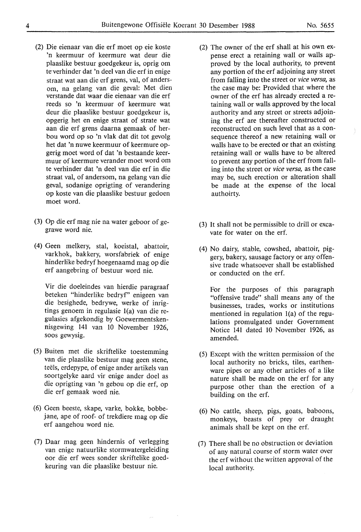- (2) Die eienaar van die erf moet op eie koste 'n keermuur of keermure wat deur die plaaslike bestuur goedgekeur is, oprig om te verhinder dat 'n deel van die erf in enige straat wat aan die erf grens, val, of andersom, na gelang van die geval: Met dien verstande dat waar die eienaar van die erf reeds so 'n keermuur of keermure wat deur die plaaslike bestuur goedgekeur is, opgerig het en enige straat of strate wat aan die erf grens daarna gemaak of herbou word op so 'n vlak dat dit tot gevolg het dat 'n nuwe keermuur of keermure opgerig moet word of dat 'n bestaande keermuur of keermure verander moet word om te verhinder dat 'n deel van die erf in die straat val, of andersom, na gelang van die geval, sodanige oprigting of verandering op koste van die plaaslike bestuur gedoen moet word.
- (3) Op die erf mag nie na water geboor of gegrawe word nie.
- (4) Geen melkery, stal, koeistal, abattoir, varkhok, bakkery, worsfabriek of enige hinderlike bedryf hoegenaamd mag op die erf aangebring of bestuur word nie.

Vir die doeleindes van hierdie paragraaf beteken "hinderlike bedryf' enigeen van die besighede, bedrywe, werke of inrigtings genoem in regulasie l(a) van die regulasies afgekondig by Goewermentskennisgewing 141 van 10 November 1926, SOOS gewysig.

- (5) Buiten met die skriftelike toestemming van die plaaslike bestuur mag geen stene, teëls, erdepype, of enige ander artikels van soortgelyke aard vir enige ander doel as die oprigting van 'n gebou op die erf, op die erf gemaak word nie.
- (6) Geen beeste, skape, varke, bokke, bobbejane, ape of roof- of trekdiere mag op die erf aangehou word nie.
- (7) Daar mag geen hindernis of verlegging van enige natuurlike stormwatergeleiding oor die erf wees sonder skriftelike goedkeuring van die plaaslike bestuur nie.
- (2) The owner of the erf shall at his own expense erect a retaining wall or walls approved by the local authority, to prevent any portion of the erf adjoining any street from falling into the street or *vice versa,* as the case may be: Provided that where the owner of the erf has already erected a retaining wall or walls approved by the local authority and any street or streets adjoining the erf are thereafter constructed or reconstructed on such level that as a consequence thereof a new retaining wall or walls have to be erected or that an existing retaining wall or walls have to be altered to prevent any portion of the erf from falling into the street or *vice versa,* as the case may be, such erection or alteration shall be made at the expense of the local authoirty.
- (3) It shall not be permissible to drill or excavate for water on the erf.
- (4) No dairy, stable, cowshed, abattoir, piggery, bakery, sausage factory or any offensive trade whatsoever shall be established or conducted on the erf.

For the purposes of this paragraph "offensive trade" shall means any of the businesses, trades, works or institutions mentioned in regulation l(a) of the regulations promulgated under Government Notice 141 dated 10 November 1926, as amended.

- (5) Except with the written permission of the local authority no bricks, tiles, earthenware pipes or any other articles of a like nature shall be made on the erf for any purpose other than the erection of a building on the erf.
- (6) No cattle, sheep, pigs, goats, baboons, monkeys, beasts of prey or draught animals shall be kept on the erf.
- (7) There shall be no obstruction or deviation of any natural course of storm water over the erf without the written approval of the local authority.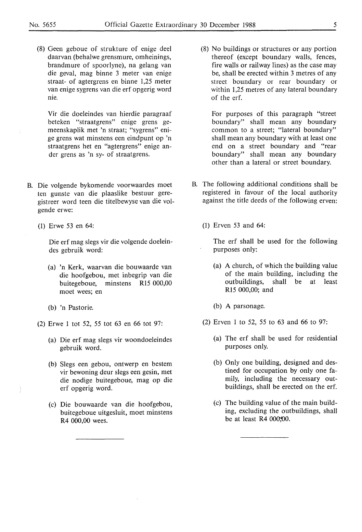(8) Geen geboue of strukture of enige deel daarvan (behalwe grensmure, omheinings, brandmure of spoorlyne), na gelang van die geval, mag binne 3 meter van enige straat- of agtergrens en binne 1,25 meter van enige sygrens van die erf opgerig word nie.

Vir die doeleindes van hierdie paragraaf beteken "straatgrens" enige grens gemeenskaplik met 'n straat; "sygrens" enige grens wat minstens een eindpunt op 'n straatgrens het en "agtergrens" enige ander grens as 'n sy- of straatgrens.

- B. Die volgende bykomende voorwaardes moet ten gunste van die plaaslike bestuur geregistreer word teen die titelbewyse van die volgende erwe:
	- (1) Erwe 53 en 64:

Die erf mag slegs vir die volgende doeleindes gebruik word:

- (a) 'n Kerk, waarvan die bouwaarde van die hoof gebou, met inbegrip van die buitegeboue, minstens Rl5 000,00 moet wees; en
- (b) 'n Pastorie.
- (2) Erwe I tot 52, 55 tot 63 en 66 tot 97:
	- (a) Die erf mag slegs vir woondoeleindes gebruik word.
	- (b) Slegs een gebou, ontwerp en bestem vir bewoning deur slegs een gesin, met die nodige buitegeboue, mag op die erf opgerig word.
	- (c) Die bouwaarde van die hoofgebou, buitegeboue uitgesluit, moet minstens R4 000,00 wees.

(8) No buildings or structures or any portion thereof (except boundary walls, fences, fire walls or railway lines) as the case may be, shall be erected within 3 metres of any street boundary or rear boundary or within 1,25 metres of any lateral boundary of the erf.

For purposes of this paragraph "street boundary" shall mean any boundary common to a street; "lateral boundary" shall mean any boundary with at least one end on a street boundary and "rear boundary" shall mean any boundary other than a lateral or street boundary.

- B. The following additional conditions shall be registered in favour of the local authority against the title deeds of the following erven:
	- (1) Erven 53 and 64:

The erf shall be used for the following purposes only:

- (a) A church, of which the building value of the main building, including the outbuildings, shall be at least R15 000,00; and
- (b) A parsonage.
- (2) Erven 1 to 52, 55 to 63 and 66 to 97:
	- (a) The erf shall be used for residential purposes only.
	- (b) Only one building, designed and destined for occupation by only one family, including the necessary outbuildings, shall be erected on the erf.
	- (c) The building value of the main building, excluding the outbuildings, shall be at least R4 00O;Q0.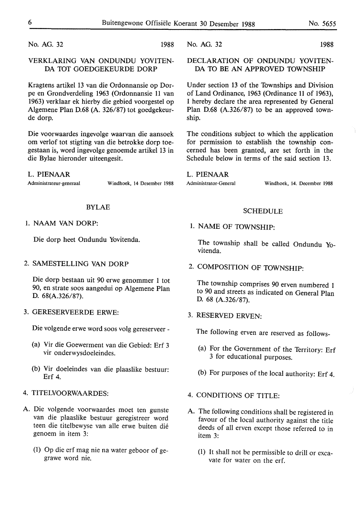No. AG. 32 1988

# VERKLARING VAN ONDUNDU YOVITEN-DA TOT GOEDGEKEURDE DORP

Kragtens artikel 13 van die Ordonnansie op Dorpe en Grondverdeling 1963 (Ordonnansie 11 van 1963) verklaar ek hierby die gebied voorgestel op Algemene Plan D.68 (A. 326/87) tot goedgekeurde dorp.

Die voorwaardes ingevolge waarvan die aansoek om verlof tot stigting van die betrokke dorp toegestaan is, word ingevolge genoemde artikel 13 in die Bylae hieronder uiteengesit.

L. **PIENAAR** 

Administrateur-generaal Windhoek, 14 Desember 1988

#### BYLAE

#### 1. NAAM VAN DORP:

Die dorp heet Ondundu Yovitenda.

# 2. SAMESTELLING VAN DORP

Die dorp bestaan uit 90 erwe genommer 1 tot 90, en strate soos aangedui op Algemene Plan D. 68(A.326/87).

#### 3. GERESERVEERDE ERWE:

Die volgende erwe word soos volg gereserveer -

- (a) Vir die Goewerment van die Gebied: Erf 3 vir onderwysdoeleindes.
- (b) Vir doeleindes van die plaaslike bestuur: Erf 4.

# 4. TITELVOORWAARDES:

- A. Die volgende voorwaardes moet ten gunste van die plaaslike bestuur geregistreer word teen die titelbewyse van alle erwe buiten die genoem in item 3:
	- (1) Op die erf mag nie na water geboor of gegrawe word nie.

No. AG. 32 1988

DECLARATION OF ONDUNDU YOVITEN-DA TO BE AN APPROVED TOWNSHIP

Under section 13 of the Townships and Division of Land Ordinance, 1963 (Ordinance 11 of 1963), I hereby declare the area represented by General Plan D.68 (A.326/87) to be an approved township.

The conditions subject to which the application for permission to establish the township concerned has been granted, are set forth in the Schedule below in terms of the said section 13.

L. **PIENAAR** 

Administrator-General Windhoek, 14. December 1988

#### SCHEDULE

# 1. NAME OF TOWNSHIP:

The township shall be called Ondundu Yovitenda.

2. COMPOSITION OF TOWNSHIP:

The township comprises 90 erven numbered 1 to 90 and streets as indicated on General Plan D. 68 (A.326/87).

# 3. RESERVED ERVEN:

The following erven are reserved as follows-

- (a) For the Government of the Territory: Erf 3 for educational purposes.
- (b) For purposes of the local authority: Erf 4.

# 4. CONDITIONS OF TITLE:

- A. The following conditions shall be registered in favour of the local authority against the title deeds of all erven except those referred to in item 3:
	- (1) It shall not be permissible to drill or excavate for water on the erf.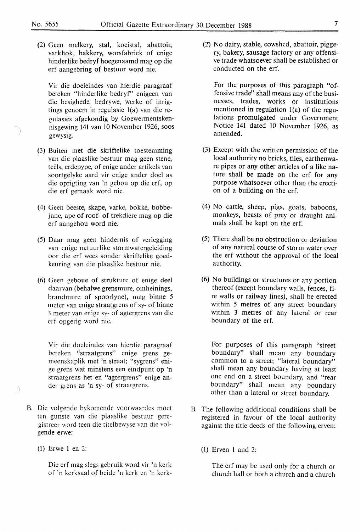(2) Geen melkery, stal, koeistal, abattoir, varkhok, bakkery, worsfabriek of enige hinder like bedryf hoegenaamd mag op die erf aangebring of bestuur word nie.

Vir die doeleindes van hierdie paragraaf beteken "hinderlike bedryf' enigeen van die besighede, bedrywe, werke of inrigtings genoem in regulasie l(a) van die regulasies af gekondig by Goewermentskennisgewing 141 van 10 November 1926, soos gewysig.

- (3) Buiten met die skriftelike toestemming van die plaaslike bestuur mag geen stene, teels, erdepype, of enige ander artikels van soortgelyke aard vir enige ander doel as die oprigting van 'n gebou op die erf, op die erf gemaak word nie.
- (4) Geen beeste, skape, varke, bokke, bobbejane, ape of roof- of trekdiere mag op die erf aangehou word nie.
- (5) Daar mag geen hindernis of verlegging van enige natuurlike stormwatergeleiding oor die erf wees sonder skriftelike goedkeuring van die plaaslike bestuur nie.
- (6) Geen geboue of strukture of enige deel daarvan (behalwe grensmure, omheinings, brandmure of spoorlyne), mag binne 5 meter van enige straatgrens of sy- of binne 3 meter van enige sy- of agtergrens van die erf opgerig word nie.

**Vir die** doeleindes van **hierdie** paragraaf beteken "straatgrens" enige grens gemeenskaplik met 'n straat; "sygrens" enige grens wat minstens een eindpunt op 'n straatgrens het en "agtergrens" enige ander grens as 'n sy- of straatgrens.

- B. Die volgende bykomende voorwaardes moet ten gunste van die plaaslike bestuur geregistreer word teen die titelbewyse van die volgende erwe:
	- (1) Erwe 1 en 2:

Die erf mag slegs gebruik word vir 'n kerk of 'n kerksaal of beide 'n kerk en 'n kerk(2) No dairy, stable, cowshed, abattoir, piggery, bakery, sausage factory or any offensive trade whatsoever shall be established or conducted on the erf.

For the purposes of this paragraph "offensive trade" shall means any of the businesses, trades, works or institutions mentioned in regulation l(a) of the regulations promulgated under Government Notice 141 dated 10 November 1926, as amended.

- (3) Except with the written permission of the local authority no bricks, tiles, earthenware pipes or any other articles of a like nature shall be made on the erf for any purpose whatsoever other than the erection of a building on the erf.
- (4) No cattle, sheep, pigs, goats, baboons, monkeys, beasts of prey or draught animals shall be kept on the erf.
- (5) There shall be no obstruction or deviation of any natural course of storm water over the erf without the approval of the local authority.
- (6) No buildings or structures or any portion thereof (except boundary walls, fences, fire walls or railway lines), shall be erected within 5 metres of any street boundary within 3 metres of any lateral or rear boundary of the erf.

For purposes of this paragraph "street boundary" shall mean any boundary common to a street; "lateral boundary" shall mean any boundary having at least one end on a street boundary, and "rear boundary" shall mean any boundary other than a lateral or street boundary.

- B. The following additional conditions shall be registered in favour of the local authority against the title deeds of the following erven:
	- (1) Erven I and 2:

The erf may be used only for a church or church hall or both a church and a church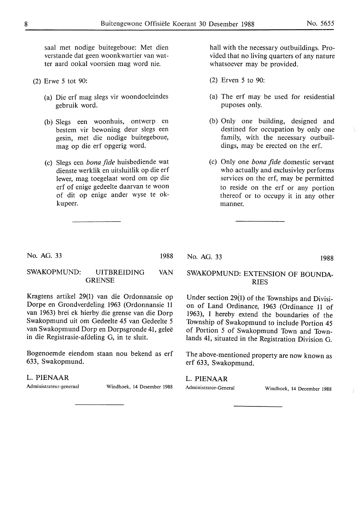saal met nodige buitegeboue: Met dien verstande dat geen woonkwartier van watter aard ookal voorsien mag word nie.

- (2) Erwe 5 tot 90:
	- (a) Die erf mag slegs vir woondoeleindes gebruik word.
	- (b) Slegs een woonhuis, ontwerp en bestem vir bewoning deur slegs een gesin, met die nodige buitegeboue, mag op die erf opgerig word.
	- (c) Slegs een *bona fide* huisbediende wat dienste werklik en uitsluitlik op die erf lewer, mag toegelaat word om op die erf of enige gedeelte daarvan te woon of dit op enige ander wyse te okkupeer.

hall with the necessary outbuildings. Provided that no living quarters of any nature whatsoever may be provided.

- (2) Erven 5 to 90:
- (a) The erf may be used for residential puposes only.
- (b) Only one building, designed and destined for occupation by only one family, with the necessary outbuildings, may be erected on the erf.
- (c) Only one *bona fide* domestic servant who actually and exclusivley performs services on the erf, may be permitted to reside on the erf or any portion thereof or to occupy it in any other manner.

No. AG. 33

1988

#### SWAKOPMUND: UITBREIDING VAN GRENSE

Kragtens artikel 29(1) van die Ordonnansie op Dorpe en Grondverdeling 1963 (Ordonnansie 11 van 1963) brei ek hierby die grense van die Dorp Swakopmund uit om Gedeelte 45 van Gedeelte 5 van Swakopmund Dorp en Dorpsgronde 41, gelee in die Registrasie-afdeling G, in te sluit.

Bogenoemde eiendom staan nou bekend as erf 633, Swakopmund.

### L. **PIENAAR**

Administrateur-generaal Windhoek, 14 Desernber 1988

### No. AG. 33 1988

# SWAKOPMUND: EXTENSION OF BOUNDA-RIES

Under section 29(1) of the Townships and Division of Land Ordinance, 1963 (Ordinance 11 of 1963), I hereby extend the boundaries of the Township of Swakopmund to include Portion 45 of Portion 5 of Swakopmund Town and Townlands 41, situated in the Registration Division G.

The above-mentioned property are now known as erf 633, Swakopmund.

#### L. **PIENAAR**

Administrator-General Windhoek, 14 December 1988